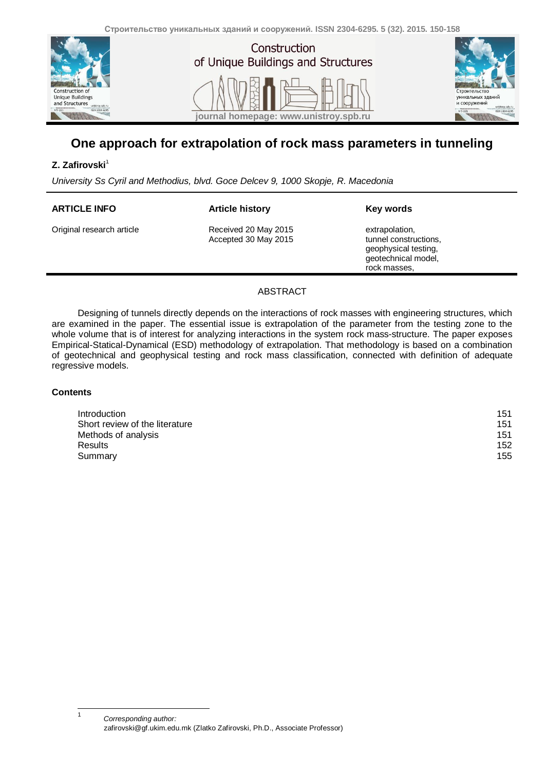

# **One approach for extrapolation of rock mass parameters in tunneling**

### **Z.** Zafirovski<sup>1</sup>

*University Ss Cyril and Methodius, blvd. Goce Delcev 9, 1000 Skopje, R. Macedonia*

| <b>ARTICLE INFO</b>       | <b>Article history</b>                       | Key words                                                                                              |
|---------------------------|----------------------------------------------|--------------------------------------------------------------------------------------------------------|
| Original research article | Received 20 May 2015<br>Accepted 30 May 2015 | extrapolation,<br>tunnel constructions,<br>geophysical testing,<br>geotechnical model,<br>rock masses. |
|                           |                                              |                                                                                                        |

### ABSTRACT

Designing of tunnels directly depends on the interactions of rock masses with engineering structures, which are examined in the paper. The essential issue is extrapolation of the parameter from the testing zone to the whole volume that is of interest for analyzing interactions in the system rock mass-structure. The paper exposes Empirical-Statical-Dynamical (ESD) methodology of extrapolation. That methodology is based on a combination of geotechnical and geophysical testing and rock mass classification, connected with definition of adequate regressive models.

### **Contents**

j 1

| Introduction                   | 151 |
|--------------------------------|-----|
| Short review of the literature | 151 |
| Methods of analysis            | 151 |
| <b>Results</b>                 | 152 |
| Summary                        | 155 |

*Corresponding author:* zafirovski@gf.ukim.edu.mk (Zlatko Zafirovski, Ph.D., Associate Professor)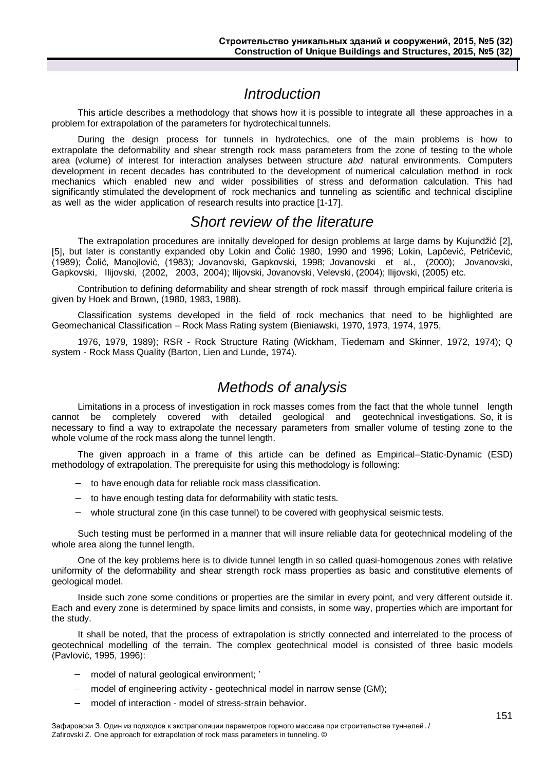# *Introduction*

<span id="page-1-0"></span>This article describes a methodology that shows how it is possible to integrate all these approaches in a problem for extrapolation of the parameters for hydrotechical tunnels.

During the design process for tunnels in hydrotechics, one of the main problems is how to extrapolate the deformability and shear strength rock mass parameters from the zone of testing to the whole area (volume) of interest for interaction analyses between structure *abd* natural environments. Computers development in recent decades has contributed to the development of numerical calculation method in rock mechanics which enabled new and wider possibilities of stress and deformation calculation. This had significantly stimulated the development of rock mechanics and tunneling as scientific and technical discipline as well as the wider application of research results into practice [1-17].

## *Short review of the literature*

<span id="page-1-1"></span>The extrapolation procedures are innitally developed for design problems at large dams by Kujundžić [2], [5], but later is constantly expanded oby Lokin and Čolić 1980, 1990 and 1996; Lokin, Lapčević, Petričević, (1989); Čolić, Manojlović, (1983); Jovanovski, Gapkovski, 1998; Jovanovski et al., (2000); Jovanovski, Gapkovski, Ilijovski, (2002, 2003, 2004); Ilijovski, Jovanovski, Velevski, (2004); Ilijovski, (2005) etc.

Contribution to defining deformability and shear strength of rock massif through empirical failure criteria is given by Hoek and Brown, (1980, 1983, 1988).

Classification systems developed in the field of rock mechanics that need to be highlighted are Geomechanical Classification – Rock Mass Rating system (Bieniawski, 1970, 1973, 1974, 1975,

1976, 1979, 1989); RSR - Rock Structure Rating (Wickham, Tiedemam and Skinner, 1972, 1974); Q system - Rock Mass Quality (Barton, Lien and Lunde, 1974).

# *Methods of analysis*

<span id="page-1-2"></span>Limitations in a process of investigation in rock masses comes from the fact that the whole tunnel length cannot be completely covered with detailed geological and geotechnical investigations. So, it is necessary to find a way to extrapolate the necessary parameters from smaller volume of testing zone to the whole volume of the rock mass along the tunnel length.

The given approach in a frame of this article can be defined as Empirical–Static-Dynamic (ESD) methodology of extrapolation. The prerequisite for using this methodology is following:

- $-$  to have enough data for reliable rock mass classification.
- $-$  to have enough testing data for deformability with static tests.
- whole structural zone (in this case tunnel) to be covered with geophysical seismic tests.

Such testing must be performed in a manner that will insure reliable data for geotechnical modeling of the whole area along the tunnel length.

One of the key problems here is to divide tunnel length in so called quasi-homogenous zones with relative uniformity of the deformability and shear strength rock mass properties as basic and constitutive elements of geological model.

Inside such zone some conditions or properties are the similar in every point, and very different outside it. Each and every zone is determined by space limits and consists, in some way, properties which are important for the study.

It shall be noted, that the process of extrapolation is strictly connected and interrelated to the process of geotechnical modelling of the terrain. The complex geotechnical model is consisted of three basic models (Pavlović, 1995, 1996):

- model of natural geological environment; '
- model of engineering activity geotechnical model in narrow sense (GM);
- model of interaction model of stress-strain behavior.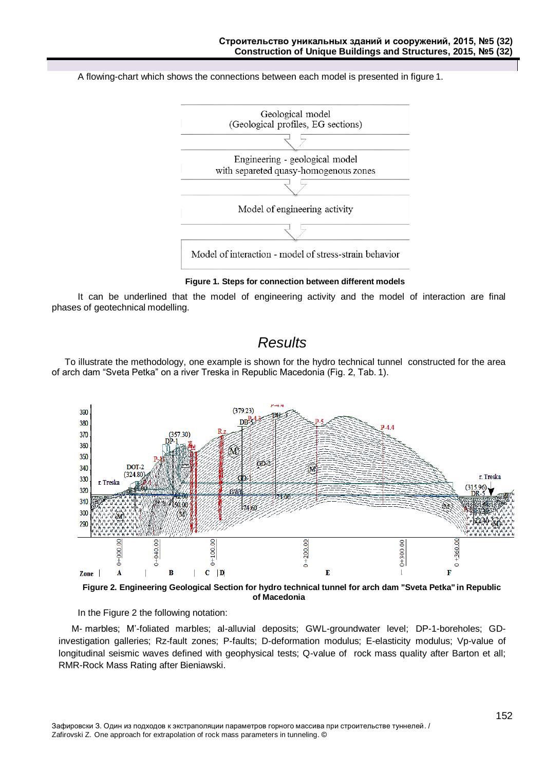A flowing-chart which shows the connections between each model is presented in figure 1.



**Figure 1. Steps for connection between different models**

It can be underlined that the model of engineering activity and the model of interaction are final phases of geotechnical modelling.

### *Results*

<span id="page-2-0"></span>To illustrate the methodology, one example is shown for the hydro technical tunnel constructed for the area of arch dam "Sveta Petka" on a river Treska in Republic Macedonia (Fig. 2, Tab. 1).



**Figure 2. Engineering Geological Section for hydro technical tunnel for arch dam "Sveta Petka" in Republic of Macedonia**

In the Figure 2 the following notation:

M- marbles; M'-foliated marbles; al-alluvial deposits; GWL-groundwater level; DP-1-boreholes; GDinvestigation galleries; Rz-fault zones; P-faults; D-deformation modulus; E-elasticity modulus; Vp-value of longitudinal seismic waves defined with geophysical tests; Q-value of rock mass quality after Barton et all; RMR-Rock Mass Rating after Bieniawski.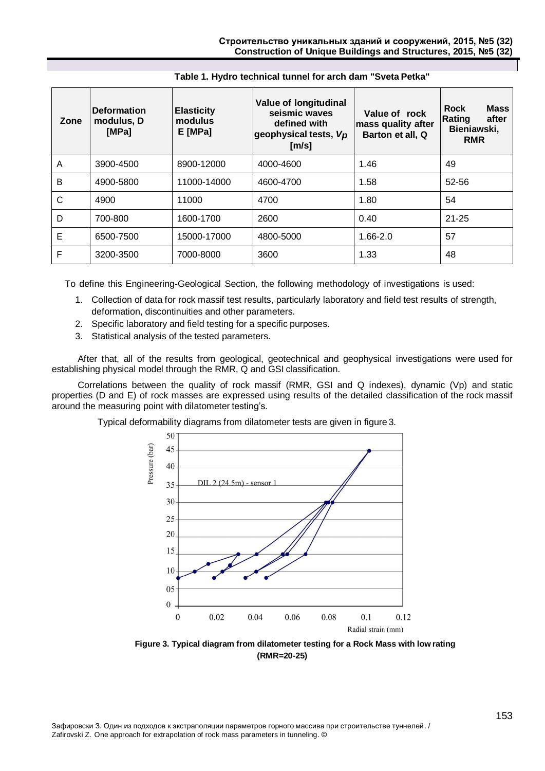| Zone | <b>Deformation</b><br>modulus, D<br>[MPa] | <b>Elasticity</b><br>modulus<br>$E$ [MPa] | <b>Value of longitudinal</b><br>seismic waves<br>defined with<br>geophysical tests, Vp<br>[m/s] | Value of rock<br>mass quality after<br>Barton et all, Q | <b>Mass</b><br><b>Rock</b><br>Rating<br>after<br>Bieniawski,<br><b>RMR</b> |
|------|-------------------------------------------|-------------------------------------------|-------------------------------------------------------------------------------------------------|---------------------------------------------------------|----------------------------------------------------------------------------|
| A    | 3900-4500                                 | 8900-12000                                | 4000-4600                                                                                       | 1.46                                                    | 49                                                                         |
| B    | 4900-5800                                 | 11000-14000                               | 4600-4700                                                                                       | 1.58                                                    | 52-56                                                                      |
| C    | 4900                                      | 11000                                     | 4700                                                                                            | 1.80                                                    | 54                                                                         |
| D    | 700-800                                   | 1600-1700                                 | 2600                                                                                            | 0.40                                                    | $21 - 25$                                                                  |
| E    | 6500-7500                                 | 15000-17000                               | 4800-5000                                                                                       | 1.66-2.0                                                | 57                                                                         |
| F    | 3200-3500                                 | 7000-8000                                 | 3600                                                                                            | 1.33                                                    | 48                                                                         |

### **Table 1. Hydro technical tunnel for arch dam "Sveta Petka"**

To define this Engineering-Geological Section, the following methodology of investigations is used:

- 1. Collection of data for rock massif test results, particularly laboratory and field test results of strength, deformation, discontinuities and other parameters.
- 2. Specific laboratory and field testing for a specific purposes.
- 3. Statistical analysis of the tested parameters.

After that, all of the results from geological, geotechnical and geophysical investigations were used for establishing physical model through the RMR, Q and GSI classification.

Correlations between the quality of rock massif (RMR, GSI and Q indexes), dynamic (Vp) and static properties (D and E) of rock masses are expressed using results of the detailed classification of the rock massif around the measuring point with dilatometer testing's.

Typical deformability diagrams from dilatometer tests are given in figure 3.



**Figure 3. Typical diagram from dilatometer testing for a Rock Mass with low rating (RMR=20-25)**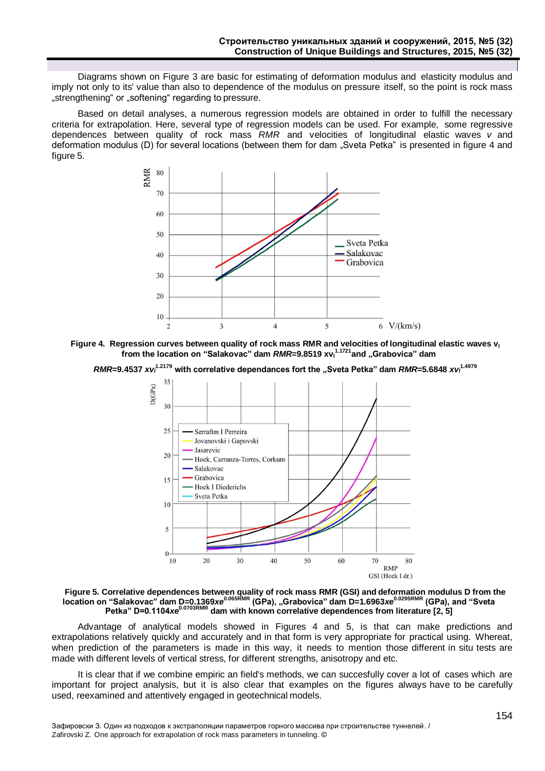Diagrams shown on Figure 3 are basic for estimating of deformation modulus and elasticity modulus and imply not only to its' value than also to dependence of the modulus on pressure itself, so the point is rock mass .strengthening" or .softening" regarding to pressure.

Based on detail analyses, a numerous regression models are obtained in order to fulfill the necessary criteria for extrapolation. Here, several type of regression models can be used. For example, some regressive dependences between quality of rock mass *RMR* and velocities of longitudinal elastic waves *v* and deformation modulus (D) for several locations (between them for dam "Sveta Petka" is presented in figure 4 and figure 5.





*RMR*=9.4537 *xv*<sup>1.2179</sup> with correlative dependances fort the "Sveta Petka" dam *RMR*=5.6848 *xv*<sup>1.4979</sup>



**Figure 5. Correlative dependences between quality of rock mass RMR (GSI) and deformation modulus D from the location on "Salakovac" dam D=0.1369***xe***0.065RMR (GPa), "Grabovica" dam D=1.6963***xe***0.0295RMR (GPa), and "Sveta Petka" D=0.1104***xe***0.0703RMR dam with known correlative dependences from literature [2, 5]**

Advantage of analytical models showed in Figures 4 and 5, is that can make predictions and extrapolations relatively quickly and accurately and in that form is very appropriate for practical using. Whereat, when prediction of the parameters is made in this way, it needs to mention those different in situ tests are made with different levels of vertical stress, for different strengths, anisotropy and etc.

It is clear that if we combine empiric an field's methods, we can succesfully cover a lot of cases which are important for project analysis, but it is also clear that examples on the figures always have to be carefully used, reexamined and attentively engaged in geotechnical models.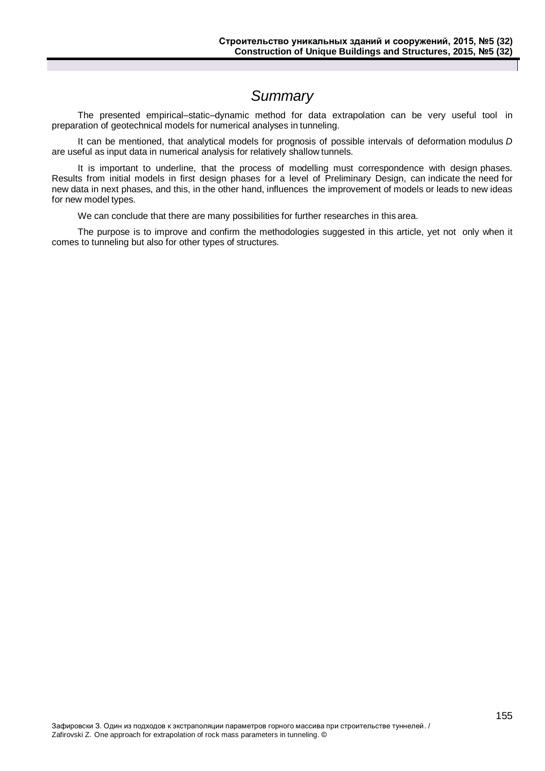# *Summary*

<span id="page-5-0"></span>The presented empirical–static–dynamic method for data extrapolation can be very useful tool in preparation of geotechnical models for numerical analyses in tunneling.

It can be mentioned, that analytical models for prognosis of possible intervals of deformation modulus *D*  are useful as input data in numerical analysis for relatively shallow tunnels.

It is important to underline, that the process of modelling must correspondence with design phases. Results from initial models in first design phases for a level of Preliminary Design, can indicate the need for new data in next phases, and this, in the other hand, influences the improvement of models or leads to new ideas for new model types.

We can conclude that there are many possibilities for further researches in this area.

The purpose is to improve and confirm the methodologies suggested in this article, yet not only when it comes to tunneling but also for other types of structures.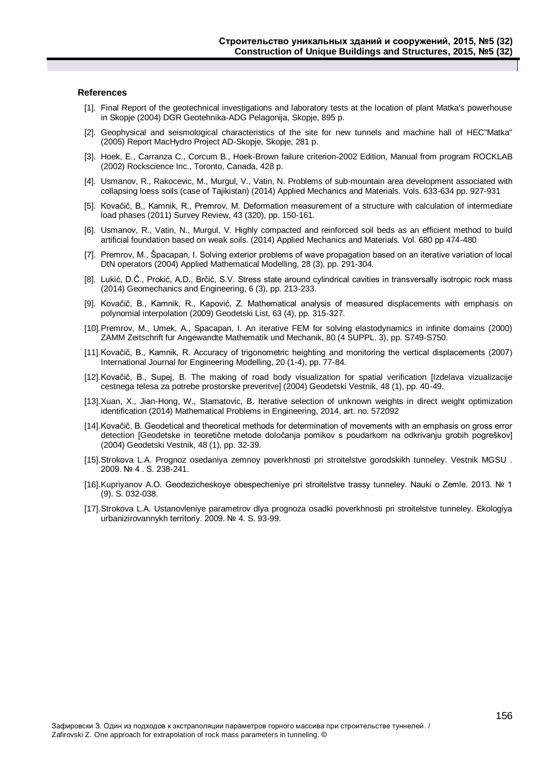#### **References**

- [1]. Final Report of the geotechnical investigations and laboratory tests at the location of plant Matka's powerhouse in Skopje (2004) DGR Geotehnika-ADG Pelagonija, Skopje, 895 p.
- [2]. Geophysical and seismological characteristics of the site for new tunnels and machine hall of HEC"Matka" (2005) Report MacHydro Project AD-Skopje, Skopje, 281 p.
- [3]. Hoek, E., Carranza C., Corcum B., Hoek-Brown failure criterion-2002 Edition, Manual from program ROCKLAB (2002) Rockscience Inc., Toronto, Canada, 428 p.
- [4]. Usmanov, R., Rakocevic, M., Murgul, V., Vatin, N. Problems of sub-mountain area development associated with collapsing loess soils (case of Tajikistan) (2014) Applied Mechanics and Materials. Vols. 633-634 pp. 927-931
- [5]. Kovačič, B., Kamnik, R., Premrov, M. Deformation measurement of a structure with calculation of intermediate load phases (2011) Survey Review, 43 (320), pp. 150-161.
- [6]. Usmanov, R., Vatin, N., Murgul, V. Highly compacted and reinforced soil beds as an efficient method to build artificial foundation based on weak soils. (2014) Applied Mechanics and Materials. Vol. 680 pp 474-480
- [7]. Premrov, M., Špacapan, I. Solving exterior problems of wave propagation based on an iterative variation of local DtN operators (2004) Applied Mathematical Modelling, 28 (3), pp. 291-304.
- [8]. Lukić, D.Č., Prokić, A.D., Brčić, S.V. Stress state around cylindrical cavities in transversally isotropic rock mass (2014) Geomechanics and Engineering, 6 (3), pp. 213-233.
- [9]. Kovačič, B., Kamnik, R., Kapović, Z. Mathematical analysis of measured displacements with emphasis on polynomial interpolation (2009) Geodetski List, 63 (4), pp. 315-327.
- [10].Premrov, M., Umek, A., Spacapan, I. An iterative FEM for solving elastodynamics in infinite domains (2000) ZAMM Zeitschrift fur Angewandte Mathematik und Mechanik, 80 (4 SUPPL. 3), pp. S749-S750.
- [11].Kovačič, B., Kamnik, R. Accuracy of trigonometric heighting and monitoring the vertical displacements (2007) International Journal for Engineering Modelling, 20 (1-4), pp. 77-84.
- [12].Kovačič, B., Supej, B. The making of road body visualization for spatial verification [Izdelava vizualizacije cestnega telesa za potrebe prostorske preveritve] (2004) Geodetski Vestnik, 48 (1), pp. 40-49.
- [13].Xuan, X., Jian-Hong, W., Stamatovic, B. Iterative selection of unknown weights in direct weight optimization identification (2014) Mathematical Problems in Engineering, 2014, art. no. 572092
- [14].Kovačič, B. Geodetical and theoretical methods for determination of movements with an emphasis on gross error detection [Geodetske in teoretične metode določanja pomikov s poudarkom na odkrivanju grobih pogreškov] (2004) Geodetski Vestnik, 48 (1), pp. 32-39.
- [15].Strokova L.A. Prognoz osedaniya zemnoy poverkhnosti pri stroitelstve gorodskikh tunneley. Vestnik MGSU . 2009. № 4 . S. 238-241.
- [16].Kupriyanov A.O. Geodezicheskoye obespecheniye pri stroitelstve trassy tunneley. Nauki o Zemle. 2013. № 1 (9). S. 032-038.
- [17].Strokova L.A. Ustanovleniye parametrov dlya prognoza osadki poverkhnosti pri stroitelstve tunneley. Ekologiya urbanizirovannykh territoriy. 2009. № 4. S. 93-99.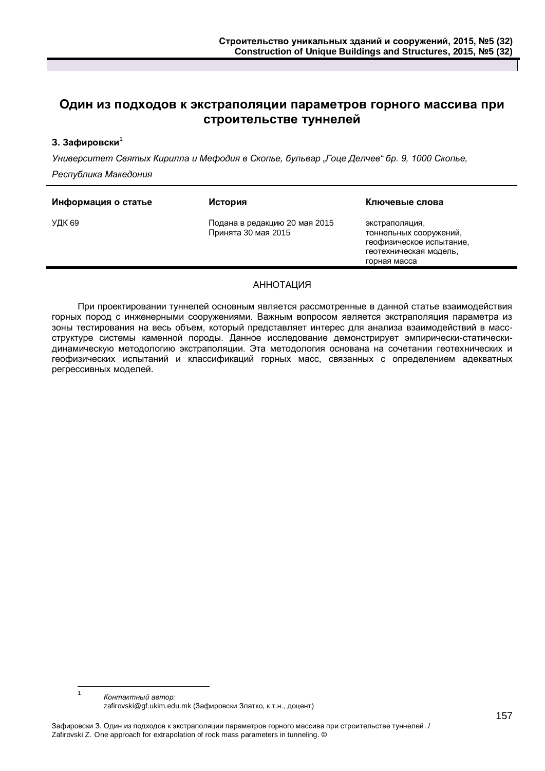### **Один из подходов к экстраполяции параметров горного массива при строительстве туннелей**

### **З. Зафировски**<sup>1</sup>

*Университет Святых Кирилла и Мефодия в Скопье, бульвар "Гоце Делчев" бр. 9, 1000 Скопье, Республика Македония*

| УДК 69<br>Подана в редакцию 20 мая 2015<br>экстраполяция,<br>Принята 30 мая 2015<br>тоннельных сооружений,<br>геофизическое испытание,<br>геотехническая модель,<br>горная масса | Информация о статье | История | Ключевые слова |
|----------------------------------------------------------------------------------------------------------------------------------------------------------------------------------|---------------------|---------|----------------|
|                                                                                                                                                                                  |                     |         |                |

### АННОТАЦИЯ

При проектировании туннелей основным является рассмотренные в данной статье взаимодействия горных пород с инженерными сооружениями. Важным вопросом является экстраполяция параметра из зоны тестирования на весь объем, который представляет интерес для анализа взаимодействий в массструктуре системы каменной породы. Данное исследование демонстрирует эмпирически-статическидинамическую методологию экстраполяции. Эта методология основана на сочетании геотехнических и геофизических испытаний и классификаций горных масс, связанных с определением адекватных регрессивных моделей.

 $\frac{1}{1}$ *Контактный автор:* zafirovski@gf.ukim.edu.mk (Зафировски Златко, к.т.н., доцент)